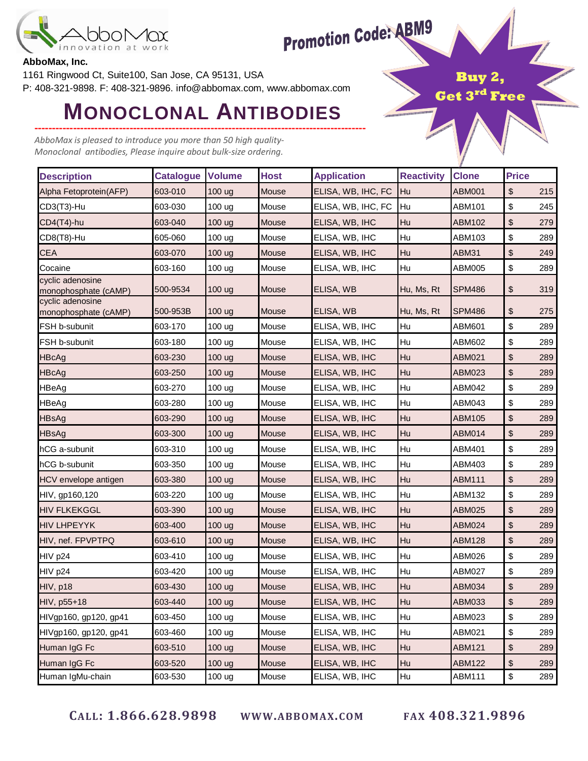

# **Promotion Code: ABM9**

Buy

Get 3rd Free

#### **AbboMax, Inc.**

1161 Ringwood Ct, Suite100, San Jose, CA 95131, USA P: 408-321-9898. F: 408-321-9896. info@abbomax.com, www.abbomax.com

## ---------------------------------------------------------------------------------------------- **MONOCLONAL ANTIBODIES**

AbboMax is pleased to introduce you more than 50 high quality-Monoclonal antibodies, Please inquire about bulk-size ordering.

| <b>Description</b>                       | <b>Catalogue</b> | <b>Volume</b>     | <b>Host</b> | <b>Application</b> | <b>Reactivity</b> | <b>Clone</b>  | <b>Price</b>                              |     |
|------------------------------------------|------------------|-------------------|-------------|--------------------|-------------------|---------------|-------------------------------------------|-----|
| Alpha Fetoprotein(AFP)                   | 603-010          | 100 ug            | Mouse       | ELISA, WB, IHC, FC | Hu                | <b>ABM001</b> | \$                                        | 215 |
| CD3(T3)-Hu                               | 603-030          | 100 ug            | Mouse       | ELISA, WB, IHC, FC | Hu                | ABM101        | $\, \, \raisebox{12pt}{$\scriptstyle \$}$ | 245 |
| CD4(T4)-hu                               | 603-040          | 100 ug            | Mouse       | ELISA, WB, IHC     | Hu                | ABM102        | \$                                        | 279 |
| CD8(T8)-Hu                               | 605-060          | 100 <sub>ug</sub> | Mouse       | ELISA, WB, IHC     | Hu                | ABM103        | \$                                        | 289 |
| <b>CEA</b>                               | 603-070          | 100 ug            | Mouse       | ELISA, WB, IHC     | Hu                | ABM31         | \$                                        | 249 |
| Cocaine                                  | 603-160          | 100 ug            | Mouse       | ELISA, WB, IHC     | Hu                | ABM005        | \$                                        | 289 |
| cyclic adenosine<br>monophosphate (cAMP) | 500-9534         | 100 ug            | Mouse       | ELISA, WB          | Hu, Ms, Rt        | <b>SPM486</b> | \$                                        | 319 |
| cyclic adenosine<br>monophosphate (cAMP) | 500-953B         | 100 ug            | Mouse       | ELISA, WB          | Hu, Ms, Rt        | <b>SPM486</b> | \$                                        | 275 |
| FSH b-subunit                            | 603-170          | 100 <sub>ug</sub> | Mouse       | ELISA, WB, IHC     | Hu                | ABM601        | \$                                        | 289 |
| FSH b-subunit                            | 603-180          | 100 ug            | Mouse       | ELISA, WB, IHC     | Hu                | ABM602        | \$                                        | 289 |
| <b>HBcAg</b>                             | 603-230          | 100 ug            | Mouse       | ELISA, WB, IHC     | Hu                | ABM021        | $\, \, \$$                                | 289 |
| <b>HBcAg</b>                             | 603-250          | 100 <sub>ug</sub> | Mouse       | ELISA, WB, IHC     | Hu                | ABM023        | \$                                        | 289 |
| <b>HBeAg</b>                             | 603-270          | 100 <sub>ug</sub> | Mouse       | ELISA, WB, IHC     | Hu                | ABM042        | \$                                        | 289 |
| HBeAg                                    | 603-280          | 100 ug            | Mouse       | ELISA, WB, IHC     | Hu                | ABM043        | \$                                        | 289 |
| <b>HBsAg</b>                             | 603-290          | 100 ug            | Mouse       | ELISA, WB, IHC     | Hu                | ABM105        | \$                                        | 289 |
| <b>HBsAg</b>                             | 603-300          | 100 <sub>ug</sub> | Mouse       | ELISA, WB, IHC     | Hu                | <b>ABM014</b> | \$                                        | 289 |
| hCG a-subunit                            | 603-310          | 100 <sub>ug</sub> | Mouse       | ELISA, WB, IHC     | Hu                | ABM401        | $\,$                                      | 289 |
| hCG b-subunit                            | 603-350          | 100 ug            | Mouse       | ELISA, WB, IHC     | Hu                | ABM403        | \$                                        | 289 |
| HCV envelope antigen                     | 603-380          | 100 <sub>ug</sub> | Mouse       | ELISA, WB, IHC     | Hu                | <b>ABM111</b> | \$                                        | 289 |
| HIV, gp160,120                           | 603-220          | 100 ug            | Mouse       | ELISA, WB, IHC     | Hu                | ABM132        | $\, \, \raisebox{12pt}{$\scriptstyle \$}$ | 289 |
| <b>HIV FLKEKGGL</b>                      | 603-390          | 100 <sub>ug</sub> | Mouse       | ELISA, WB, IHC     | Hu                | <b>ABM025</b> | \$                                        | 289 |
| <b>HIV LHPEYYK</b>                       | 603-400          | 100 ug            | Mouse       | ELISA, WB, IHC     | Hu                | <b>ABM024</b> | \$                                        | 289 |
| HIV, nef. FPVPTPQ                        | 603-610          | 100 <sub>ug</sub> | Mouse       | ELISA, WB, IHC     | Hu                | <b>ABM128</b> | \$                                        | 289 |
| HIV p24                                  | 603-410          | 100 ug            | Mouse       | ELISA, WB, IHC     | Hu                | ABM026        | \$                                        | 289 |
| HIV p24                                  | 603-420          | 100 ug            | Mouse       | ELISA, WB, IHC     | Hu                | <b>ABM027</b> | \$                                        | 289 |
| HIV, p18                                 | 603-430          | 100 ug            | Mouse       | ELISA, WB, IHC     | Hu                | <b>ABM034</b> | $\boldsymbol{\mathsf{S}}$                 | 289 |
| HIV, p55+18                              | 603-440          | 100 ug            | Mouse       | ELISA, WB, IHC     | Hu                | ABM033        | $\,$                                      | 289 |
| HIVgp160, gp120, gp41                    | 603-450          | 100 ug            | Mouse       | ELISA, WB, IHC     | Hu                | ABM023        | \$                                        | 289 |
| HIVgp160, gp120, gp41                    | 603-460          | 100 ug            | Mouse       | ELISA, WB, IHC     | Hu                | ABM021        | $\, \, \raisebox{12pt}{$\scriptstyle \$}$ | 289 |
| Human IgG Fc                             | 603-510          | 100 ug            | Mouse       | ELISA, WB, IHC     | Hu                | <b>ABM121</b> | \$                                        | 289 |
| Human IgG Fc                             | 603-520          | 100 ug            | Mouse       | ELISA, WB, IHC     | Hu                | <b>ABM122</b> | \$                                        | 289 |
| Human IgMu-chain                         | 603-530          | 100 ug            | Mouse       | ELISA, WB, IHC     | Hu                | ABM111        | $\, \, \raisebox{12pt}{$\scriptstyle \$}$ | 289 |

CALL: 1.866.628.9898 WWW.ABBOMAX.COM FAX 408.321.9896